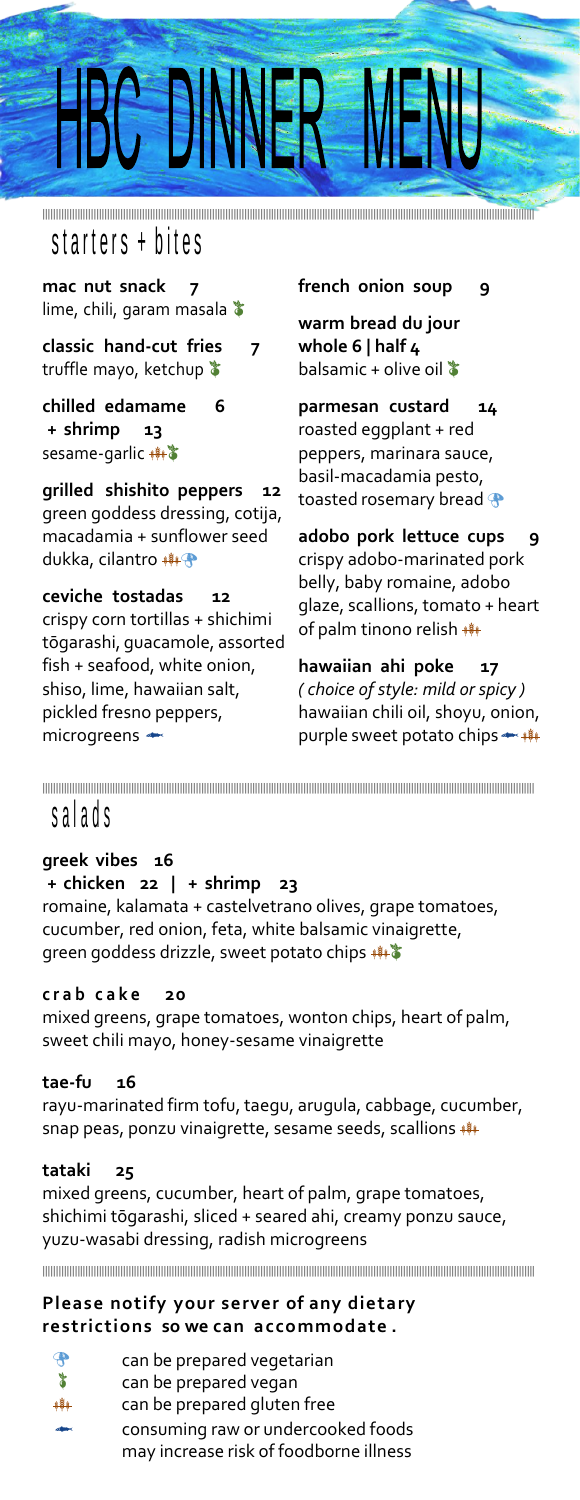# 

**|||||||||||||||||||||||||||||||||||||||||||||||||||||||||||||||||||||||||||||||||||||||||||||||||||||||||||||||||||||||||||||||||||||||||||||||||||||||||||||||||||||||||||||||||||||||** starters + bites

**mac nut snack 7** lime, chili, garam masala  $\blacktriangleright$ 

**classic hand-cut fries 7** truffle mayo, ketchup  $\blacktriangleright$ 

**chilled edamame 6 + shrimp 13** sesame-garlic \*\*\*

**grilled shishito peppers 12** green goddess dressing, cotija, macadamia + sunflower seed dukka, cilantro

**ceviche tostadas 12** crispy corn tortillas + shichimi tōgarashi, guacamole, assorted fish + seafood, white onion, shiso, lime, hawaiian salt, pickled fresno peppers, microgreens

**french onion soup 9**

**warm bread du jour whole 6 | half 4** balsamic + olive oil  $\ddot{\ddot{\bullet}}$ 

**parmesan custard 14** roasted eggplant + red peppers, marinara sauce, basil-macadamia pesto, toasted rosemary bread

**adobo pork lettuce cups 9** crispy adobo-marinated pork belly, baby romaine, adobo glaze, scallions, tomato + heart of palm tinono relish \*\*\*

**hawaiian ahi poke 17** *( choice of style: mild or spicy )* hawaiian chili oil, shoyu, onion, purple sweet potato chips

**|||||||||||||||||||||||||||||||||||||||||||||||||||||||||||||||||||||||||||||||||||||||||||||||||||||||||||||||||||||||||||||||||||||||||||||||||||||||||||||||||||||||||||||||||||||||**

# s a l a d s

#### **greek vibes 16**

**+ chicken 22 | + shrimp 23** romaine, kalamata + castelvetrano olives, grape tomatoes, cucumber, red onion, feta, white balsamic vinaigrette, green goddess drizzle, sweet potato chips ##\*

#### **c r a b c a k e 20**

mixed greens, grape tomatoes, wonton chips, heart of palm, sweet chili mayo, honey-sesame vinaigrette

#### **tae-fu 16**

rayu-marinated firm tofu, taegu, arugula, cabbage, cucumber, snap peas, ponzu vinaigrette, sesame seeds, scallions

#### **tataki 25**

mixed greens, cucumber, heart of palm, grape tomatoes, shichimi tōgarashi, sliced + seared ahi, creamy ponzu sauce, yuzu-wasabi dressing, radish microgreens

**|||||||||||||||||||||||||||||||||||||||||||||||||||||||||||||||||||||||||||||||||||||||||||||||||||||||||||||||||||||||||||||||||||||||||||||||||||||||||||||||||||||||||||||||||||||||**

#### **Please notify your server of any dietary restrictions so we can accommodate .**

| $\mathbf{P}$          | can be prepared vegetarian             |
|-----------------------|----------------------------------------|
|                       |                                        |
| ¥                     | can be prepared vegan                  |
| $+ +$                 | can be prepared gluten free            |
| $\sigma$ and $\sigma$ | consuming raw or undercooked foods     |
|                       | may increase risk of foodborne illness |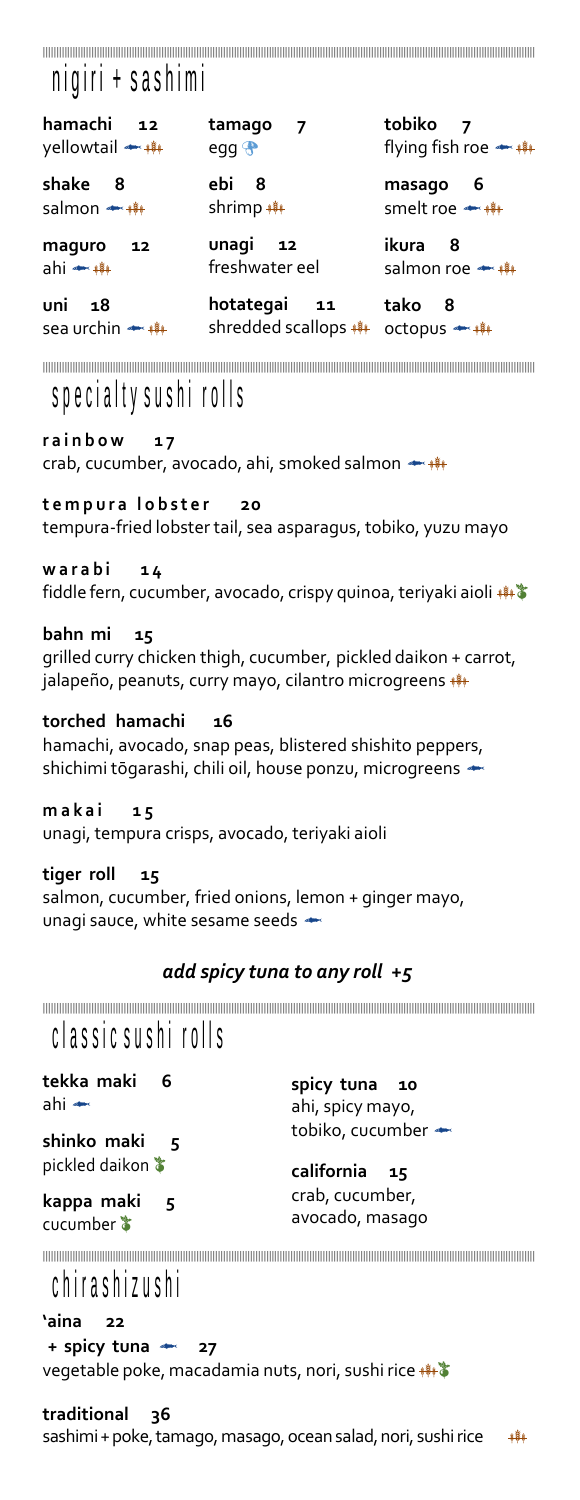## **|||||||||||||||||||||||||||||||||||||||||||||||||||||||||||||||||||||||||||||||||||||||||||||||||||||||||||||||||||||||||||||||||||||||||||||||||||||||||||||||||||||||||||||||||||||||**

# nigiri + sashimi

**hamachi 12** yellowtail \*\*\*

**shake 8** salmon \*\*\*

**maguro 12** ahi

**uni 18** sea urchin \*\*\* **tamago 7** egg<sup>®</sup>

**ebi 8** shrimp \*\*\*

**unagi 12** freshwater eel **tobiko 7** flying fish roe \*\*\*

**masago 6** smelt roe \*\*\*

**ikura 8** salmon roe \*\*\*

**hotategai 11** shredded scallops **\*\*\*** octopus **\*\*\*\*** 

**tako 8**

**|||||||||||||||||||||||||||||||||||||||||||||||||||||||||||||||||||||||||||||||||||||||||||||||||||||||||||||||||||||||||||||||||||||||||||||||||||||||||||||||||||||||||||||||||||||||**

## specialty sushi rolls

**r a i n b o w 1 7** crab, cucumber, avocado, ahi, smoked salmon

#### **t e m p u r a l o b s t e r 20**

tempura-fried lobster tail, sea asparagus, tobiko, yuzu mayo

#### **w a r a b i 1 4**

fiddle fern, cucumber, avocado, crispy quinoa, teriyaki aioli \*\*\*

#### **bahn mi 15**

grilled curry chicken thigh, cucumber, pickled daikon + carrot, jalapeño, peanuts, curry mayo, cilantro microgreens \*\*\*

**torched hamachi 16** hamachi, avocado, snap peas, blistered shishito peppers,

shichimi tōgarashi, chili oil, house ponzu, microgreens <>

**m a k a i 1 5** unagi, tempura crisps, avocado, teriyaki aioli

**tiger roll 15** salmon, cucumber, fried onions, lemon + ginger mayo, unagi sauce, white sesame seeds

#### *add spicy tuna to any roll +5*

**|||||||||||||||||||||||||||||||||||||||||||||||||||||||||||||||||||||||||||||||||||||||||||||||||||||||||||||||||||||||||||||||||||||||||||||||||||||||||||||||||||||||||||||||||||||||**

# classic sushi rolls

**tekka maki 6** ahi

**spicy tuna 10** ahi, spicy mayo, tobiko, cucumber

**shinko maki 5** pickled daikon **california 15**

**kappa maki 5** cucumber  $\ddot{\textbf{\textit{x}}}$ 

crab, cucumber, avocado, masago

**|||||||||||||||||||||||||||||||||||||||||||||||||||||||||||||||||||||||||||||||||||||||||||||||||||||||||||||||||||||||||||||||||||||||||||||||||||||||||||||||||||||||||||||||||||||||**

# c h ir a s h i z u s h i

**'aina 22 + spicy tuna 27** vegetable poke, macadamia nuts, nori, sushi rice \*\*\*

**traditional 36**

sashimi + poke, tamago, masago, ocean salad, nori, sushi rice \*\*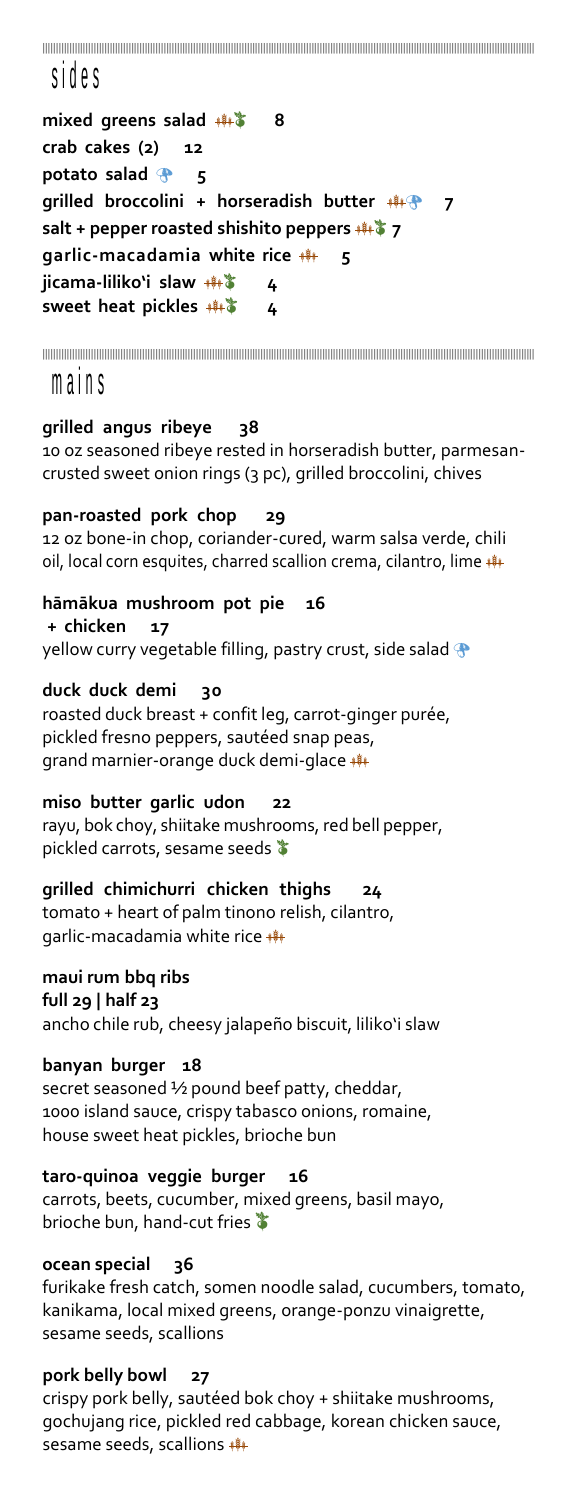**|||||||||||||||||||||||||||||||||||||||||||||||||||||||||||||||||||||||||||||||||||||||||||||||||||||||||||||||||||||||||||||||||||||||||||||||||||||||||||||||||||||||||||||||||||||||**

## s id e s

**mixed greens salad 8 crab cakes (2) 12 potato salad 5 grilled broccolini + horseradish butter 7 salt + pepper roasted shishito peppers 7 garlic-macadamia white rice 5 jicama-liliko'i slaw 4 sweet heat pickles 4**

**|||||||||||||||||||||||||||||||||||||||||||||||||||||||||||||||||||||||||||||||||||||||||||||||||||||||||||||||||||||||||||||||||||||||||||||||||||||||||||||||||||||||||||||||||||||||**

## m a in s

#### **grilled angus ribeye 38**

10 oz seasoned ribeye rested in horseradish butter, parmesancrusted sweet onion rings (3 pc), grilled broccolini, chives

#### **pan-roasted pork chop 29**

12 oz bone-in chop, coriander-cured, warm salsa verde, chili oil, local corn esquites, charred scallion crema, cilantro, lime \*\*\*

**hāmākua mushroom pot pie 16 + chicken 17** yellow curry vegetable filling, pastry crust, side salad  $\bigoplus$ 

### **duck duck demi 30**

roasted duck breast + confit leg, carrot-ginger purée, pickled fresno peppers, sautéed snap peas, grand marnier-orange duck demi-glace \*\*\*

**miso butter garlic udon 22** rayu, bok choy, shiitake mushrooms, red bell pepper, pickled carrots, sesame seeds  $\bullet$ 

**grilled chimichurri chicken thighs 24** tomato + heart of palm tinono relish, cilantro, garlic-macadamia white rice \*\*\*

#### **maui rum bbq ribs full 29 | half 23**

ancho chile rub, cheesy jalapeño biscuit, liliko'i slaw

**banyan burger 18** secret seasoned ½ pound beef patty, cheddar, 1000 island sauce, crispy tabasco onions, romaine, house sweet heat pickles, brioche bun

**taro-quinoa veggie burger 16** carrots, beets, cucumber, mixed greens, basil mayo, brioche bun, hand-cut fries

#### **ocean special 36**

furikake fresh catch, somen noodle salad, cucumbers, tomato, kanikama, local mixed greens, orange-ponzu vinaigrette, sesame seeds, scallions

#### **pork belly bowl 27**

crispy pork belly, sautéed bok choy + shiitake mushrooms, gochujang rice, pickled red cabbage, korean chicken sauce, sesame seeds, scallions \*\*\*